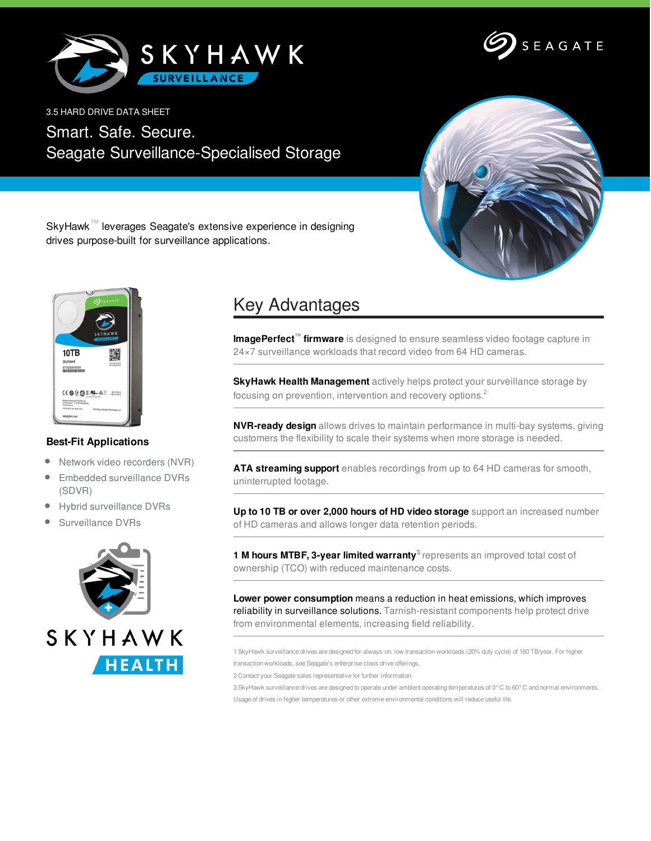



3.5 HARD DRIVE DATA SHEET

Smart. Safe. Secure. Seagate Surveillance-Specialised Storage



SkyHawk™ leverages Seagate's extensive experience in designing drives purpose-built for surveillance applications.



## **Best-Fit Applications**

- $\bullet$ Network video recorders (NVR)
- $\bullet$ Embedded surveillance DVRs (SDVR)
- Hybrid surveillance DVRs  $\bullet$
- Surveillance DVRs



## Key Advantages

**ImagePerfect™ firmware** is designed to ensure seamless video footage capture in 24×7 surveillance workloads that record video from 64 HD cameras.

**SkyHawk Health Management** actively helps protect your surveillance storage by focusing on prevention, intervention and recovery options.<sup>2</sup>

**NVR-ready design** allows drives to maintain performance in multi-bay systems, giving customers the flexibility to scale their systems when more storage is needed.

**ATA streaming support** enables recordings from up to 64 HD cameras for smooth, uninterrupted footage.

**Up to 10 TB or over 2,000 hours of HD video storage** support an increased number of HD cameras and allows longer data retention periods.

**1 M hours MTBF, 3-year limited warranty 3** represents an improved total cost of ownership (TCO) with reduced maintenance costs.

**Lower power consumption** means a reduction in heat emissions, which improves reliability in surveillance solutions. Tarnish-resistant components help protect drive from environmental elements, increasing field reliability.

1 SkyHawk surveillance drives are designed for always-on, low transaction workloads (20% duty cycle) of 180 TB/year. For higher transaction workloads, see Seagate's enterprise-class drive offerings.

2 Contact your Seagate sales representative for further information.

3 SkyHawk surveillance drives are designed to operate under ambient operating temperatures of 0°C to 60°C and normal environments. Usage of drives in higher temperatures or other extreme environmental conditions will reduce useful life.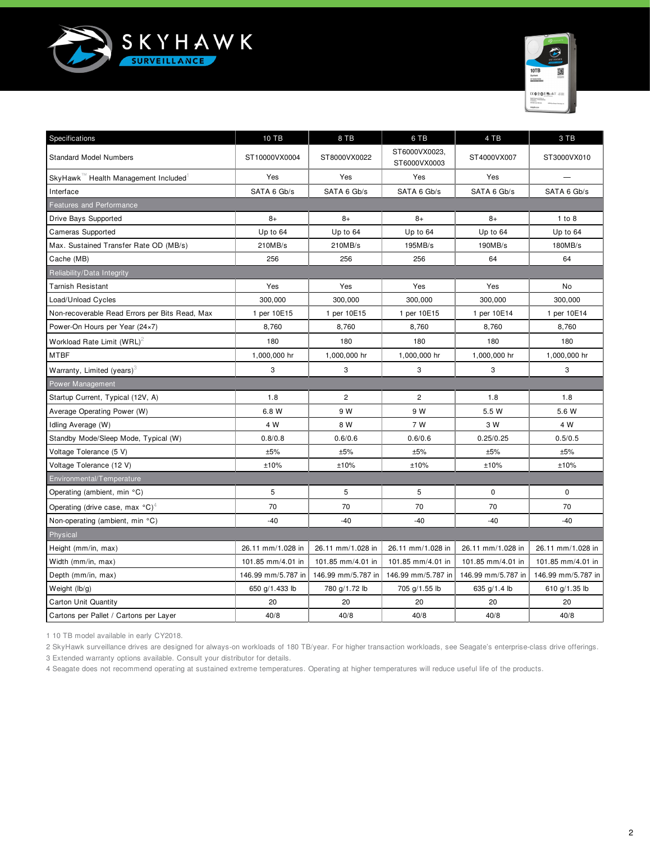



| Specifications                                        | 10 TB              | 8 TB               | 6 TB                          | 4 TB               | 3 TB               |
|-------------------------------------------------------|--------------------|--------------------|-------------------------------|--------------------|--------------------|
| <b>Standard Model Numbers</b>                         | ST10000VX0004      | ST8000VX0022       | ST6000VX0023,<br>ST6000VX0003 | ST4000VX007        | ST3000VX010        |
| SkyHawk "Health Management Included                   | Yes                | Yes                | Yes                           | Yes                |                    |
| Interface                                             | SATA 6 Gb/s        | SATA 6 Gb/s        | SATA 6 Gb/s                   | SATA 6 Gb/s        | SATA 6 Gb/s        |
| <b>Features and Performance</b>                       |                    |                    |                               |                    |                    |
| Drive Bays Supported                                  | $8+$               | $8+$               | $8+$                          | $8+$               | 1 to 8             |
| <b>Cameras Supported</b>                              | Up to 64           | Up to 64           | Up to 64                      | Up to 64           | Up to 64           |
| Max. Sustained Transfer Rate OD (MB/s)                | 210MB/s            | 210MB/s            | 195MB/s                       | 190MB/s            | 180MB/s            |
| Cache (MB)                                            | 256                | 256                | 256                           | 64                 | 64                 |
| Reliability/Data Integrity                            |                    |                    |                               |                    |                    |
| <b>Tarnish Resistant</b>                              | Yes                | Yes                | Yes                           | Yes                | No                 |
| Load/Unload Cycles                                    | 300,000            | 300,000            | 300,000                       | 300,000            | 300,000            |
| Non-recoverable Read Errors per Bits Read, Max        | 1 per 10E15        | 1 per 10E15        | 1 per 10E15                   | 1 per 10E14        | 1 per 10E14        |
| Power-On Hours per Year (24×7)                        | 8,760              | 8,760              | 8,760                         | 8,760              | 8,760              |
| Workload Rate Limit (WRL) <sup>2</sup>                | 180                | 180                | 180                           | 180                | 180                |
| <b>MTBF</b>                                           | 1,000,000 hr       | 1,000,000 hr       | 1,000,000 hr                  | 1,000,000 hr       | 1,000,000 hr       |
| Warranty, Limited (years) $3$                         | 3                  | 3                  | 3                             | 3                  | 3                  |
| Power Management                                      |                    |                    |                               |                    |                    |
| Startup Current, Typical (12V, A)                     | 1.8                | $\overline{c}$     | $\overline{c}$                | 1.8                | 1.8                |
| Average Operating Power (W)                           | 6.8 W              | 9 W                | 9 W                           | 5.5 W              | 5.6 W              |
| Idling Average (W)                                    | 4 W                | 8 W                | 7 W                           | 3 W                | 4 W                |
| Standby Mode/Sleep Mode, Typical (W)                  | 0.8/0.8            | 0.6/0.6            | 0.6/0.6                       | 0.25/0.25          | 0.5/0.5            |
| Voltage Tolerance (5 V)                               | ±5%                | ±5%                | ±5%                           | ±5%                | ±5%                |
| Voltage Tolerance (12 V)                              | ±10%               | ±10%               | ±10%                          | ±10%               | ±10%               |
| Environmental/Temperature                             |                    |                    |                               |                    |                    |
| Operating (ambient, min °C)                           | 5                  | 5                  | 5                             | $\mathbf 0$        | $\mathbf 0$        |
| Operating (drive case, max $^{\circ}$ C) <sup>4</sup> | 70                 | 70                 | 70                            | 70                 | 70                 |
| Non-operating (ambient, min °C)                       | $-40$              | $-40$              | $-40$                         | $-40$              | -40                |
| Physical                                              |                    |                    |                               |                    |                    |
| Height (mm/in, max)                                   | 26.11 mm/1.028 in  | 26.11 mm/1.028 in  | 26.11 mm/1.028 in             | 26.11 mm/1.028 in  | 26.11 mm/1.028 in  |
| Width (mm/in, max)                                    | 101.85 mm/4.01 in  | 101.85 mm/4.01 in  | 101.85 mm/4.01 in             | 101.85 mm/4.01 in  | 101.85 mm/4.01 in  |
| Depth (mm/in, max)                                    | 146.99 mm/5.787 in | 146.99 mm/5.787 in | 146.99 mm/5.787 in            | 146.99 mm/5.787 in | 146.99 mm/5.787 in |
| Weight $(lb/g)$                                       | 650 g/1.433 lb     | 780 g/1.72 lb      | 705 g/1.55 lb                 | 635 g/1.4 lb       | 610 g/1.35 lb      |
| Carton Unit Quantity                                  | 20                 | 20                 | 20                            | 20                 | 20                 |
| Cartons per Pallet / Cartons per Layer                | 40/8               | 40/8               | 40/8                          | 40/8               | 40/8               |

1 10 TB model available in early CY2018.

2 SkyHawk surveillance drives are designed for always-on workloads of 180 TB/year. For higher transaction workloads, see Seagate's enterprise-class drive offerings. 3 Extended warranty options available. Consult your distributor for details.

4 Seagate does not recommend operating at sustained extreme temperatures. Operating at higher temperatures will reduce useful life of the products.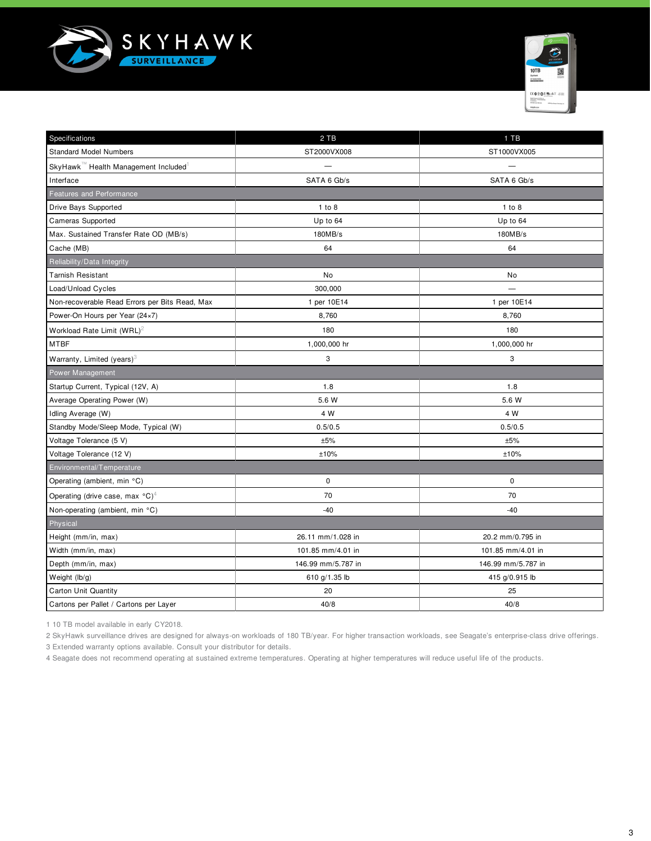



| Specifications                                        | 2 TB               | 1 TB               |  |  |  |
|-------------------------------------------------------|--------------------|--------------------|--|--|--|
| <b>Standard Model Numbers</b>                         | ST2000VX008        | ST1000VX005        |  |  |  |
| SkyHawk™ Health Management Included                   |                    |                    |  |  |  |
| Interface                                             | SATA 6 Gb/s        | SATA 6 Gb/s        |  |  |  |
| <b>Features and Performance</b>                       |                    |                    |  |  |  |
| Drive Bays Supported                                  | 1 to 8             | 1 to 8             |  |  |  |
| Cameras Supported                                     | Up to 64           | Up to 64           |  |  |  |
| Max. Sustained Transfer Rate OD (MB/s)                | 180MB/s            | 180MB/s            |  |  |  |
| Cache (MB)                                            | 64                 | 64                 |  |  |  |
| Reliability/Data Integrity                            |                    |                    |  |  |  |
| <b>Tarnish Resistant</b>                              | No                 | No                 |  |  |  |
| Load/Unload Cycles                                    | 300,000            |                    |  |  |  |
| Non-recoverable Read Errors per Bits Read, Max        | 1 per 10E14        | 1 per 10E14        |  |  |  |
| Power-On Hours per Year (24×7)                        | 8,760              | 8,760              |  |  |  |
| Workload Rate Limit $(WRL)^2$                         | 180                | 180                |  |  |  |
| <b>MTBF</b>                                           | 1,000,000 hr       | 1,000,000 hr       |  |  |  |
| Warranty, Limited (years) <sup>3</sup>                | 3                  | 3                  |  |  |  |
| Power Management                                      |                    |                    |  |  |  |
| Startup Current, Typical (12V, A)                     | 1.8                | 1.8                |  |  |  |
| Average Operating Power (W)                           | 5.6 W              | 5.6 W              |  |  |  |
| Idling Average (W)                                    | 4 W                | 4 W                |  |  |  |
| Standby Mode/Sleep Mode, Typical (W)                  | 0.5/0.5            | 0.5/0.5            |  |  |  |
| Voltage Tolerance (5 V)                               | ±5%                | ±5%                |  |  |  |
| Voltage Tolerance (12 V)                              | ±10%               | ±10%               |  |  |  |
| Environmental/Temperature                             |                    |                    |  |  |  |
| Operating (ambient, min °C)                           | $\mathbf 0$        | $\mathbf 0$        |  |  |  |
| Operating (drive case, max $^{\circ}$ C) <sup>4</sup> | 70                 | 70                 |  |  |  |
| Non-operating (ambient, min °C)                       | -40                | $-40$              |  |  |  |
| Physical                                              |                    |                    |  |  |  |
| Height (mm/in, max)                                   | 26.11 mm/1.028 in  | 20.2 mm/0.795 in   |  |  |  |
| Width (mm/in, max)                                    | 101.85 mm/4.01 in  | 101.85 mm/4.01 in  |  |  |  |
| Depth (mm/in, max)                                    | 146.99 mm/5.787 in | 146.99 mm/5.787 in |  |  |  |
| Weight (lb/g)                                         | 610 g/1.35 lb      | 415 g/0.915 lb     |  |  |  |
| <b>Carton Unit Quantity</b>                           | 20                 | 25                 |  |  |  |
| Cartons per Pallet / Cartons per Layer                | 40/8               | 40/8               |  |  |  |

1 10 TB model available in early CY2018.

2 SkyHawk surveillance drives are designed for always-on workloads of 180 TB/year. For higher transaction workloads, see Seagate's enterprise-class drive offerings.

3 Extended warranty options available. Consult your distributor for details.

4 Seagate does not recommend operating at sustained extreme temperatures. Operating at higher temperatures will reduce useful life of the products.